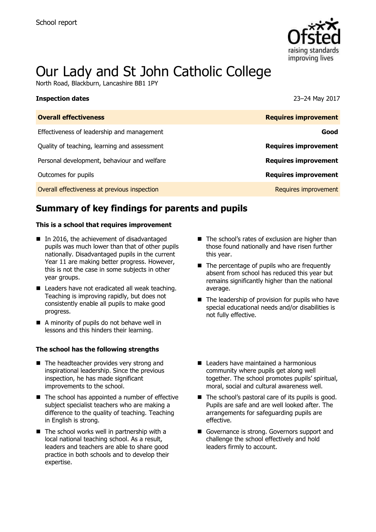

# Our Lady and St John Catholic College

North Road, Blackburn, Lancashire BB1 1PY

| Inspection dates                             | 23-24 May 2017              |
|----------------------------------------------|-----------------------------|
| <b>Overall effectiveness</b>                 | <b>Requires improvement</b> |
| Effectiveness of leadership and management   | Good                        |
| Quality of teaching, learning and assessment | <b>Requires improvement</b> |
| Personal development, behaviour and welfare  | <b>Requires improvement</b> |
| Outcomes for pupils                          | <b>Requires improvement</b> |
| Overall effectiveness at previous inspection | Requires improvement        |
|                                              |                             |

# **Summary of key findings for parents and pupils**

### **This is a school that requires improvement**

- In 2016, the achievement of disadvantaged pupils was much lower than that of other pupils nationally. Disadvantaged pupils in the current Year 11 are making better progress. However, this is not the case in some subjects in other year groups.
- Leaders have not eradicated all weak teaching. Teaching is improving rapidly, but does not consistently enable all pupils to make good progress.
- A minority of pupils do not behave well in lessons and this hinders their learning.

### **The school has the following strengths**

- The headteacher provides very strong and inspirational leadership. Since the previous inspection, he has made significant improvements to the school.
- The school has appointed a number of effective subject specialist teachers who are making a difference to the quality of teaching. Teaching in English is strong.
- $\blacksquare$  The school works well in partnership with a local national teaching school. As a result, leaders and teachers are able to share good practice in both schools and to develop their expertise.
- The school's rates of exclusion are higher than those found nationally and have risen further this year.
- $\blacksquare$  The percentage of pupils who are frequently absent from school has reduced this year but remains significantly higher than the national average.
- $\blacksquare$  The leadership of provision for pupils who have special educational needs and/or disabilities is not fully effective.
- Leaders have maintained a harmonious community where pupils get along well together. The school promotes pupils' spiritual, moral, social and cultural awareness well.
- $\blacksquare$  The school's pastoral care of its pupils is good. Pupils are safe and are well looked after. The arrangements for safeguarding pupils are effective.
- Governance is strong. Governors support and challenge the school effectively and hold leaders firmly to account.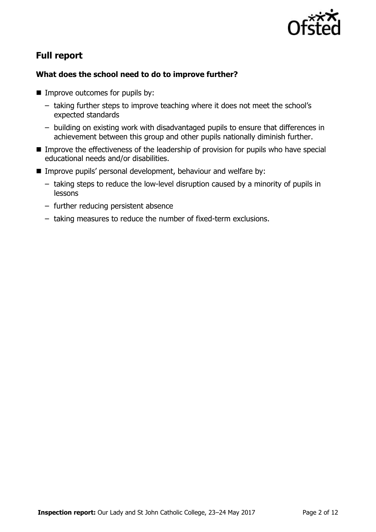

# **Full report**

### **What does the school need to do to improve further?**

- **Improve outcomes for pupils by:** 
	- taking further steps to improve teaching where it does not meet the school's expected standards
	- building on existing work with disadvantaged pupils to ensure that differences in achievement between this group and other pupils nationally diminish further.
- **IMPROVE THE EFFECT IVE ASSET IS EXECUTED STATE:** Improve the effectiveness of the leadership of provision for pupils who have special educational needs and/or disabilities.
- **IMPROVE pupils' personal development, behaviour and welfare by:** 
	- taking steps to reduce the low-level disruption caused by a minority of pupils in lessons
	- further reducing persistent absence
	- taking measures to reduce the number of fixed-term exclusions.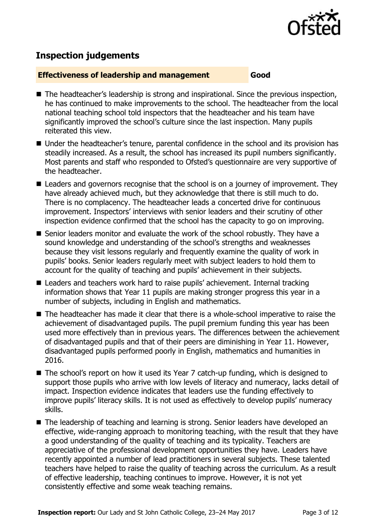

# **Inspection judgements**

### **Effectiveness of leadership and management Good**

- The headteacher's leadership is strong and inspirational. Since the previous inspection, he has continued to make improvements to the school. The headteacher from the local national teaching school told inspectors that the headteacher and his team have significantly improved the school's culture since the last inspection. Many pupils reiterated this view.
- Under the headteacher's tenure, parental confidence in the school and its provision has steadily increased. As a result, the school has increased its pupil numbers significantly. Most parents and staff who responded to Ofsted's questionnaire are very supportive of the headteacher.
- Leaders and governors recognise that the school is on a journey of improvement. They have already achieved much, but they acknowledge that there is still much to do. There is no complacency. The headteacher leads a concerted drive for continuous improvement. Inspectors' interviews with senior leaders and their scrutiny of other inspection evidence confirmed that the school has the capacity to go on improving.
- Senior leaders monitor and evaluate the work of the school robustly. They have a sound knowledge and understanding of the school's strengths and weaknesses because they visit lessons regularly and frequently examine the quality of work in pupils' books. Senior leaders regularly meet with subject leaders to hold them to account for the quality of teaching and pupils' achievement in their subjects.
- Leaders and teachers work hard to raise pupils' achievement. Internal tracking information shows that Year 11 pupils are making stronger progress this year in a number of subjects, including in English and mathematics.
- The headteacher has made it clear that there is a whole-school imperative to raise the achievement of disadvantaged pupils. The pupil premium funding this year has been used more effectively than in previous years. The differences between the achievement of disadvantaged pupils and that of their peers are diminishing in Year 11. However, disadvantaged pupils performed poorly in English, mathematics and humanities in 2016.
- The school's report on how it used its Year 7 catch-up funding, which is designed to support those pupils who arrive with low levels of literacy and numeracy, lacks detail of impact. Inspection evidence indicates that leaders use the funding effectively to improve pupils' literacy skills. It is not used as effectively to develop pupils' numeracy skills.
- The leadership of teaching and learning is strong. Senior leaders have developed an effective, wide-ranging approach to monitoring teaching, with the result that they have a good understanding of the quality of teaching and its typicality. Teachers are appreciative of the professional development opportunities they have. Leaders have recently appointed a number of lead practitioners in several subjects. These talented teachers have helped to raise the quality of teaching across the curriculum. As a result of effective leadership, teaching continues to improve. However, it is not yet consistently effective and some weak teaching remains.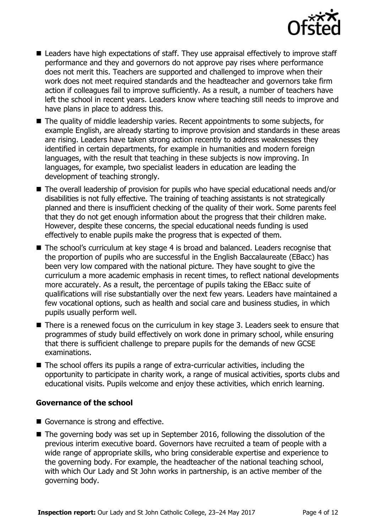

- Leaders have high expectations of staff. They use appraisal effectively to improve staff performance and they and governors do not approve pay rises where performance does not merit this. Teachers are supported and challenged to improve when their work does not meet required standards and the headteacher and governors take firm action if colleagues fail to improve sufficiently. As a result, a number of teachers have left the school in recent years. Leaders know where teaching still needs to improve and have plans in place to address this.
- The quality of middle leadership varies. Recent appointments to some subjects, for example English, are already starting to improve provision and standards in these areas are rising. Leaders have taken strong action recently to address weaknesses they identified in certain departments, for example in humanities and modern foreign languages, with the result that teaching in these subjects is now improving. In languages, for example, two specialist leaders in education are leading the development of teaching strongly.
- The overall leadership of provision for pupils who have special educational needs and/or disabilities is not fully effective. The training of teaching assistants is not strategically planned and there is insufficient checking of the quality of their work. Some parents feel that they do not get enough information about the progress that their children make. However, despite these concerns, the special educational needs funding is used effectively to enable pupils make the progress that is expected of them.
- The school's curriculum at key stage 4 is broad and balanced. Leaders recognise that the proportion of pupils who are successful in the English Baccalaureate (EBacc) has been very low compared with the national picture. They have sought to give the curriculum a more academic emphasis in recent times, to reflect national developments more accurately. As a result, the percentage of pupils taking the EBacc suite of qualifications will rise substantially over the next few years. Leaders have maintained a few vocational options, such as health and social care and business studies, in which pupils usually perform well.
- There is a renewed focus on the curriculum in key stage 3. Leaders seek to ensure that programmes of study build effectively on work done in primary school, while ensuring that there is sufficient challenge to prepare pupils for the demands of new GCSE examinations.
- The school offers its pupils a range of extra-curricular activities, including the opportunity to participate in charity work, a range of musical activities, sports clubs and educational visits. Pupils welcome and enjoy these activities, which enrich learning.

### **Governance of the school**

- Governance is strong and effective.
- The governing body was set up in September 2016, following the dissolution of the previous interim executive board. Governors have recruited a team of people with a wide range of appropriate skills, who bring considerable expertise and experience to the governing body. For example, the headteacher of the national teaching school, with which Our Lady and St John works in partnership, is an active member of the governing body.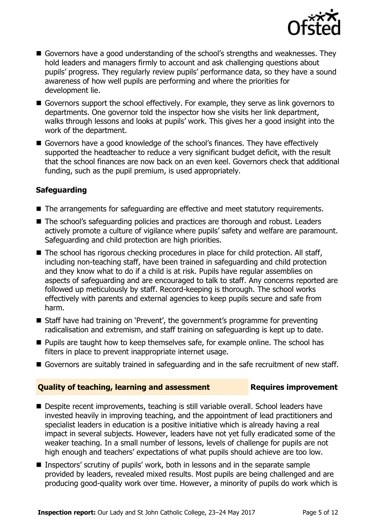

- Governors have a good understanding of the school's strengths and weaknesses. They hold leaders and managers firmly to account and ask challenging questions about pupils' progress. They regularly review pupils' performance data, so they have a sound awareness of how well pupils are performing and where the priorities for development lie.
- Governors support the school effectively. For example, they serve as link governors to departments. One governor told the inspector how she visits her link department, walks through lessons and looks at pupils' work. This gives her a good insight into the work of the department.
- Governors have a good knowledge of the school's finances. They have effectively supported the headteacher to reduce a very significant budget deficit, with the result that the school finances are now back on an even keel. Governors check that additional funding, such as the pupil premium, is used appropriately.

### **Safeguarding**

- The arrangements for safeguarding are effective and meet statutory requirements.
- The school's safeguarding policies and practices are thorough and robust. Leaders actively promote a culture of vigilance where pupils' safety and welfare are paramount. Safeguarding and child protection are high priorities.
- The school has rigorous checking procedures in place for child protection. All staff, including non-teaching staff, have been trained in safeguarding and child protection and they know what to do if a child is at risk. Pupils have regular assemblies on aspects of safeguarding and are encouraged to talk to staff. Any concerns reported are followed up meticulously by staff. Record-keeping is thorough. The school works effectively with parents and external agencies to keep pupils secure and safe from harm.
- Staff have had training on 'Prevent', the government's programme for preventing radicalisation and extremism, and staff training on safeguarding is kept up to date.
- **Pupils are taught how to keep themselves safe, for example online. The school has** filters in place to prevent inappropriate internet usage.
- Governors are suitably trained in safeguarding and in the safe recruitment of new staff.

### **Quality of teaching, learning and assessment France Requires improvement**

- Despite recent improvements, teaching is still variable overall. School leaders have invested heavily in improving teaching, and the appointment of lead practitioners and specialist leaders in education is a positive initiative which is already having a real impact in several subjects. However, leaders have not yet fully eradicated some of the weaker teaching. In a small number of lessons, levels of challenge for pupils are not high enough and teachers' expectations of what pupils should achieve are too low.
- Inspectors' scrutiny of pupils' work, both in lessons and in the separate sample provided by leaders, revealed mixed results. Most pupils are being challenged and are producing good-quality work over time. However, a minority of pupils do work which is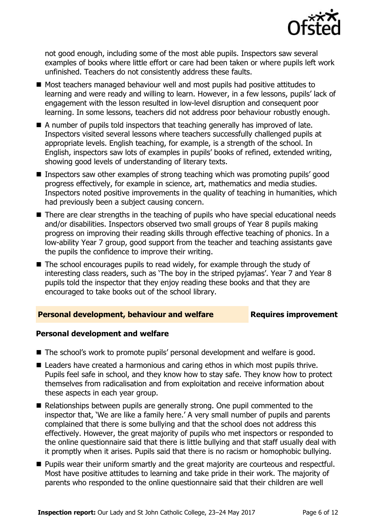

not good enough, including some of the most able pupils. Inspectors saw several examples of books where little effort or care had been taken or where pupils left work unfinished. Teachers do not consistently address these faults.

- Most teachers managed behaviour well and most pupils had positive attitudes to learning and were ready and willing to learn. However, in a few lessons, pupils' lack of engagement with the lesson resulted in low-level disruption and consequent poor learning. In some lessons, teachers did not address poor behaviour robustly enough.
- $\blacksquare$  A number of pupils told inspectors that teaching generally has improved of late. Inspectors visited several lessons where teachers successfully challenged pupils at appropriate levels. English teaching, for example, is a strength of the school. In English, inspectors saw lots of examples in pupils' books of refined, extended writing, showing good levels of understanding of literary texts.
- **Inspectors saw other examples of strong teaching which was promoting pupils' good** progress effectively, for example in science, art, mathematics and media studies. Inspectors noted positive improvements in the quality of teaching in humanities, which had previously been a subject causing concern.
- There are clear strengths in the teaching of pupils who have special educational needs and/or disabilities. Inspectors observed two small groups of Year 8 pupils making progress on improving their reading skills through effective teaching of phonics. In a low-ability Year 7 group, good support from the teacher and teaching assistants gave the pupils the confidence to improve their writing.
- The school encourages pupils to read widely, for example through the study of interesting class readers, such as 'The boy in the striped pyjamas'. Year 7 and Year 8 pupils told the inspector that they enjoy reading these books and that they are encouraged to take books out of the school library.

### **Personal development, behaviour and welfare Fig. 2.1 Requires improvement**

### **Personal development and welfare**

- The school's work to promote pupils' personal development and welfare is good.
- Leaders have created a harmonious and caring ethos in which most pupils thrive. Pupils feel safe in school, and they know how to stay safe. They know how to protect themselves from radicalisation and from exploitation and receive information about these aspects in each year group.
- Relationships between pupils are generally strong. One pupil commented to the inspector that, 'We are like a family here.' A very small number of pupils and parents complained that there is some bullying and that the school does not address this effectively. However, the great majority of pupils who met inspectors or responded to the online questionnaire said that there is little bullying and that staff usually deal with it promptly when it arises. Pupils said that there is no racism or homophobic bullying.
- **Pupils wear their uniform smartly and the great majority are courteous and respectful.** Most have positive attitudes to learning and take pride in their work. The majority of parents who responded to the online questionnaire said that their children are well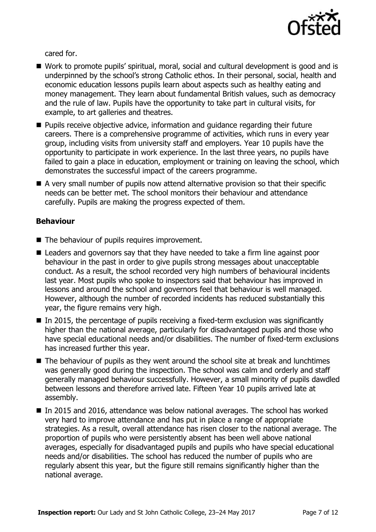

cared for.

- Work to promote pupils' spiritual, moral, social and cultural development is good and is underpinned by the school's strong Catholic ethos. In their personal, social, health and economic education lessons pupils learn about aspects such as healthy eating and money management. They learn about fundamental British values, such as democracy and the rule of law. Pupils have the opportunity to take part in cultural visits, for example, to art galleries and theatres.
- **Pupils receive objective advice, information and quidance regarding their future** careers. There is a comprehensive programme of activities, which runs in every year group, including visits from university staff and employers. Year 10 pupils have the opportunity to participate in work experience. In the last three years, no pupils have failed to gain a place in education, employment or training on leaving the school, which demonstrates the successful impact of the careers programme.
- A very small number of pupils now attend alternative provision so that their specific needs can be better met. The school monitors their behaviour and attendance carefully. Pupils are making the progress expected of them.

### **Behaviour**

- The behaviour of pupils requires improvement.
- Leaders and governors say that they have needed to take a firm line against poor behaviour in the past in order to give pupils strong messages about unacceptable conduct. As a result, the school recorded very high numbers of behavioural incidents last year. Most pupils who spoke to inspectors said that behaviour has improved in lessons and around the school and governors feel that behaviour is well managed. However, although the number of recorded incidents has reduced substantially this year, the figure remains very high.
- $\blacksquare$  In 2015, the percentage of pupils receiving a fixed-term exclusion was significantly higher than the national average, particularly for disadvantaged pupils and those who have special educational needs and/or disabilities. The number of fixed-term exclusions has increased further this year.
- The behaviour of pupils as they went around the school site at break and lunchtimes was generally good during the inspection. The school was calm and orderly and staff generally managed behaviour successfully. However, a small minority of pupils dawdled between lessons and therefore arrived late. Fifteen Year 10 pupils arrived late at assembly.
- In 2015 and 2016, attendance was below national averages. The school has worked very hard to improve attendance and has put in place a range of appropriate strategies. As a result, overall attendance has risen closer to the national average. The proportion of pupils who were persistently absent has been well above national averages, especially for disadvantaged pupils and pupils who have special educational needs and/or disabilities. The school has reduced the number of pupils who are regularly absent this year, but the figure still remains significantly higher than the national average.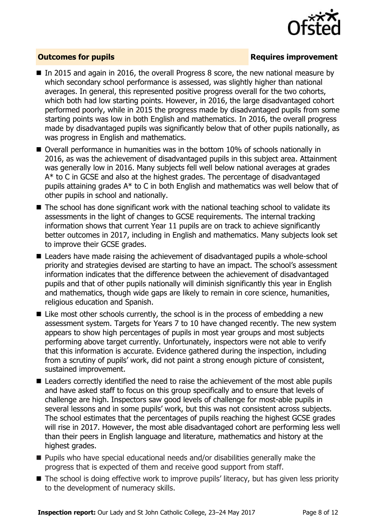

### **Outcomes for pupils Requires improvement**

- In 2015 and again in 2016, the overall Progress 8 score, the new national measure by which secondary school performance is assessed, was slightly higher than national averages. In general, this represented positive progress overall for the two cohorts, which both had low starting points. However, in 2016, the large disadvantaged cohort performed poorly, while in 2015 the progress made by disadvantaged pupils from some starting points was low in both English and mathematics. In 2016, the overall progress made by disadvantaged pupils was significantly below that of other pupils nationally, as was progress in English and mathematics.
- Overall performance in humanities was in the bottom 10% of schools nationally in 2016, as was the achievement of disadvantaged pupils in this subject area. Attainment was generally low in 2016. Many subjects fell well below national averages at grades A\* to C in GCSE and also at the highest grades. The percentage of disadvantaged pupils attaining grades A\* to C in both English and mathematics was well below that of other pupils in school and nationally.
- The school has done significant work with the national teaching school to validate its assessments in the light of changes to GCSE requirements. The internal tracking information shows that current Year 11 pupils are on track to achieve significantly better outcomes in 2017, including in English and mathematics. Many subjects look set to improve their GCSE grades.
- Leaders have made raising the achievement of disadvantaged pupils a whole-school priority and strategies devised are starting to have an impact. The school's assessment information indicates that the difference between the achievement of disadvantaged pupils and that of other pupils nationally will diminish significantly this year in English and mathematics, though wide gaps are likely to remain in core science, humanities, religious education and Spanish.
- Like most other schools currently, the school is in the process of embedding a new assessment system. Targets for Years 7 to 10 have changed recently. The new system appears to show high percentages of pupils in most year groups and most subjects performing above target currently. Unfortunately, inspectors were not able to verify that this information is accurate. Evidence gathered during the inspection, including from a scrutiny of pupils' work, did not paint a strong enough picture of consistent, sustained improvement.
- Leaders correctly identified the need to raise the achievement of the most able pupils and have asked staff to focus on this group specifically and to ensure that levels of challenge are high. Inspectors saw good levels of challenge for most-able pupils in several lessons and in some pupils' work, but this was not consistent across subjects. The school estimates that the percentages of pupils reaching the highest GCSE grades will rise in 2017. However, the most able disadvantaged cohort are performing less well than their peers in English language and literature, mathematics and history at the highest grades.
- Pupils who have special educational needs and/or disabilities generally make the progress that is expected of them and receive good support from staff.
- $\blacksquare$  The school is doing effective work to improve pupils' literacy, but has given less priority to the development of numeracy skills.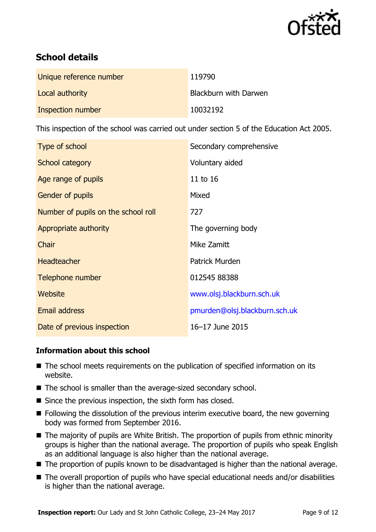

# **School details**

| Unique reference number | 119790                |
|-------------------------|-----------------------|
| Local authority         | Blackburn with Darwen |
| Inspection number       | 10032192              |

This inspection of the school was carried out under section 5 of the Education Act 2005.

| Type of school                      | Secondary comprehensive       |
|-------------------------------------|-------------------------------|
| School category                     | Voluntary aided               |
| Age range of pupils                 | 11 to 16                      |
| <b>Gender of pupils</b>             | Mixed                         |
| Number of pupils on the school roll | 727                           |
| Appropriate authority               | The governing body            |
| Chair                               | Mike Zamitt                   |
| <b>Headteacher</b>                  | <b>Patrick Murden</b>         |
| Telephone number                    | 012545 88388                  |
| Website                             | www.olsj.blackburn.sch.uk     |
| <b>Email address</b>                | pmurden@olsj.blackburn.sch.uk |
| Date of previous inspection         | 16-17 June 2015               |

### **Information about this school**

- The school meets requirements on the publication of specified information on its website.
- The school is smaller than the average-sized secondary school.
- $\blacksquare$  Since the previous inspection, the sixth form has closed.
- **Following the dissolution of the previous interim executive board, the new governing** body was formed from September 2016.
- The majority of pupils are White British. The proportion of pupils from ethnic minority groups is higher than the national average. The proportion of pupils who speak English as an additional language is also higher than the national average.
- The proportion of pupils known to be disadvantaged is higher than the national average.
- The overall proportion of pupils who have special educational needs and/or disabilities is higher than the national average.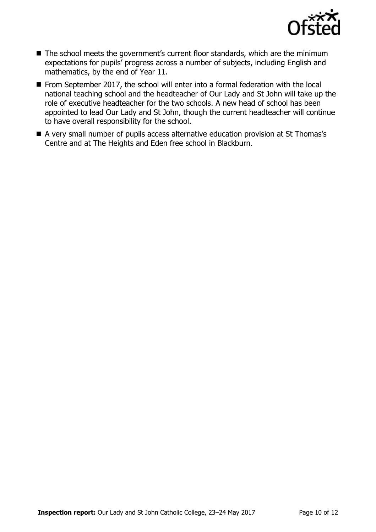

- The school meets the government's current floor standards, which are the minimum expectations for pupils' progress across a number of subjects, including English and mathematics, by the end of Year 11.
- From September 2017, the school will enter into a formal federation with the local national teaching school and the headteacher of Our Lady and St John will take up the role of executive headteacher for the two schools. A new head of school has been appointed to lead Our Lady and St John, though the current headteacher will continue to have overall responsibility for the school.
- A very small number of pupils access alternative education provision at St Thomas's Centre and at The Heights and Eden free school in Blackburn.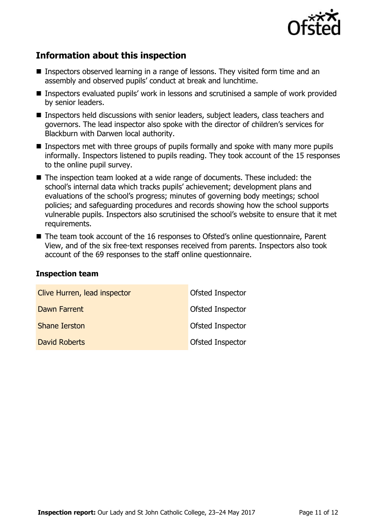

# **Information about this inspection**

- Inspectors observed learning in a range of lessons. They visited form time and an assembly and observed pupils' conduct at break and lunchtime.
- Inspectors evaluated pupils' work in lessons and scrutinised a sample of work provided by senior leaders.
- Inspectors held discussions with senior leaders, subject leaders, class teachers and governors. The lead inspector also spoke with the director of children's services for Blackburn with Darwen local authority.
- **Inspectors met with three groups of pupils formally and spoke with many more pupils** informally. Inspectors listened to pupils reading. They took account of the 15 responses to the online pupil survey.
- The inspection team looked at a wide range of documents. These included: the school's internal data which tracks pupils' achievement; development plans and evaluations of the school's progress; minutes of governing body meetings; school policies; and safeguarding procedures and records showing how the school supports vulnerable pupils. Inspectors also scrutinised the school's website to ensure that it met requirements.
- The team took account of the 16 responses to Ofsted's online questionnaire, Parent View, and of the six free-text responses received from parents. Inspectors also took account of the 69 responses to the staff online questionnaire.

### **Inspection team**

| Clive Hurren, lead inspector | Ofsted Inspector        |
|------------------------------|-------------------------|
| Dawn Farrent                 | Ofsted Inspector        |
| <b>Shane Ierston</b>         | <b>Ofsted Inspector</b> |
| <b>David Roberts</b>         | <b>Ofsted Inspector</b> |